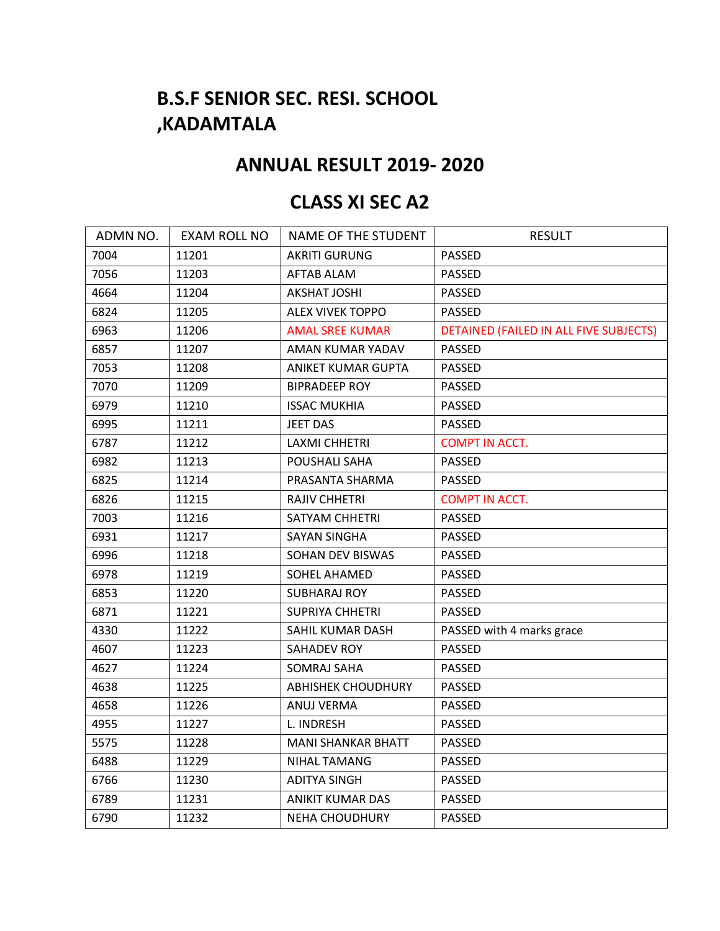## **B.S.F SENIOR SEC. RESI. SCHOOL ,KADAMTALA**

## **ANNUAL RESULT 2019- 2020**

## **CLASS XI SEC A2**

| ADMN NO. | <b>EXAM ROLL NO</b> | NAME OF THE STUDENT       | <b>RESULT</b>                          |
|----------|---------------------|---------------------------|----------------------------------------|
| 7004     | 11201               | <b>AKRITI GURUNG</b>      | <b>PASSED</b>                          |
| 7056     | 11203               | AFTAB ALAM                | <b>PASSED</b>                          |
| 4664     | 11204               | <b>AKSHAT JOSHI</b>       | <b>PASSED</b>                          |
| 6824     | 11205               | <b>ALEX VIVEK TOPPO</b>   | <b>PASSED</b>                          |
| 6963     | 11206               | <b>AMAL SREE KUMAR</b>    | DETAINED (FAILED IN ALL FIVE SUBJECTS) |
| 6857     | 11207               | AMAN KUMAR YADAV          | <b>PASSED</b>                          |
| 7053     | 11208               | ANIKET KUMAR GUPTA        | PASSED                                 |
| 7070     | 11209               | <b>BIPRADEEP ROY</b>      | <b>PASSED</b>                          |
| 6979     | 11210               | <b>ISSAC MUKHIA</b>       | PASSED                                 |
| 6995     | 11211               | JEET DAS                  | PASSED                                 |
| 6787     | 11212               | <b>LAXMI CHHETRI</b>      | <b>COMPT IN ACCT.</b>                  |
| 6982     | 11213               | POUSHALI SAHA             | <b>PASSED</b>                          |
| 6825     | 11214               | PRASANTA SHARMA           | PASSED                                 |
| 6826     | 11215               | RAJIV CHHETRI             | <b>COMPT IN ACCT.</b>                  |
| 7003     | 11216               | SATYAM CHHETRI            | <b>PASSED</b>                          |
| 6931     | 11217               | <b>SAYAN SINGHA</b>       | <b>PASSED</b>                          |
| 6996     | 11218               | SOHAN DEV BISWAS          | <b>PASSED</b>                          |
| 6978     | 11219               | SOHEL AHAMED              | <b>PASSED</b>                          |
| 6853     | 11220               | <b>SUBHARAJ ROY</b>       | <b>PASSED</b>                          |
| 6871     | 11221               | <b>SUPRIYA CHHETRI</b>    | <b>PASSED</b>                          |
| 4330     | 11222               | SAHIL KUMAR DASH          | PASSED with 4 marks grace              |
| 4607     | 11223               | <b>SAHADEV ROY</b>        | <b>PASSED</b>                          |
| 4627     | 11224               | <b>SOMRAJ SAHA</b>        | PASSED                                 |
| 4638     | 11225               | <b>ABHISHEK CHOUDHURY</b> | PASSED                                 |
| 4658     | 11226               | ANUJ VERMA                | <b>PASSED</b>                          |
| 4955     | 11227               | L. INDRESH                | <b>PASSED</b>                          |
| 5575     | 11228               | <b>MANI SHANKAR BHATT</b> | <b>PASSED</b>                          |
| 6488     | 11229               | NIHAL TAMANG              | <b>PASSED</b>                          |
| 6766     | 11230               | <b>ADITYA SINGH</b>       | PASSED                                 |
| 6789     | 11231               | <b>ANIKIT KUMAR DAS</b>   | PASSED                                 |
| 6790     | 11232               | <b>NEHA CHOUDHURY</b>     | <b>PASSED</b>                          |